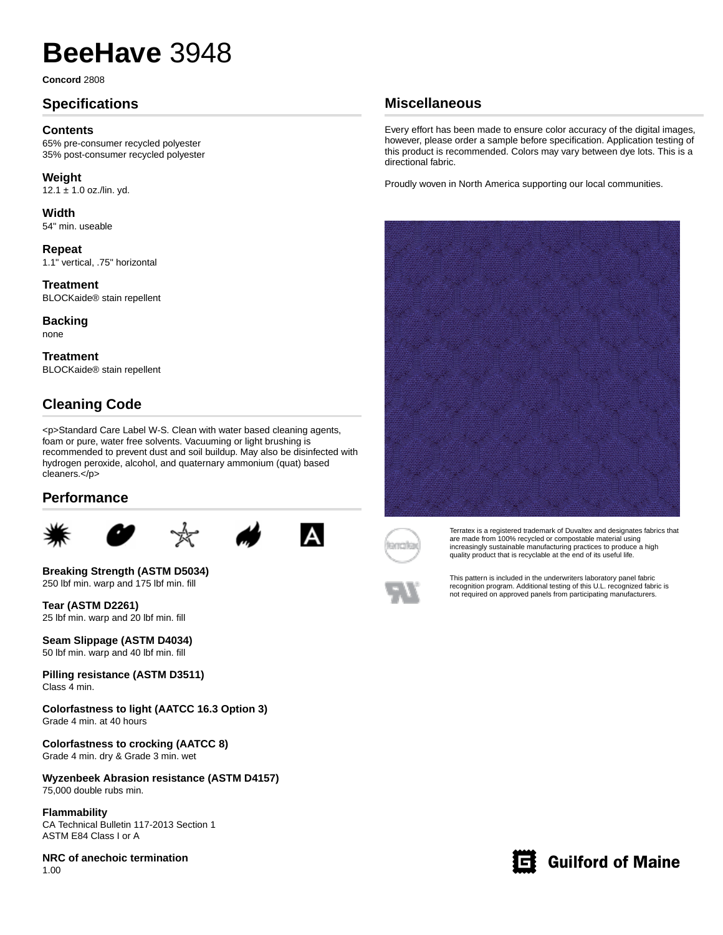# **BeeHave** 3948

**Concord** 2808

## **Specifications**

#### **Contents**

65% pre-consumer recycled polyester 35% post-consumer recycled polyester

**Weight** 12.1  $\pm$  1.0 oz./lin. yd.

**Width** 54" min. useable

**Repeat** 1.1" vertical, .75" horizontal

**Treatment** BLOCKaide® stain repellent

**Backing**

none

**Treatment** BLOCKaide® stain repellent

## **Cleaning Code**

<p>Standard Care Label W-S. Clean with water based cleaning agents, foam or pure, water free solvents. Vacuuming or light brushing is recommended to prevent dust and soil buildup. May also be disinfected with hydrogen peroxide, alcohol, and quaternary ammonium (quat) based cleaners.</p>

#### **Performance**









**Breaking Strength (ASTM D5034)** 250 lbf min. warp and 175 lbf min. fill

**Tear (ASTM D2261)** 25 lbf min. warp and 20 lbf min. fill

**Seam Slippage (ASTM D4034)** 50 lbf min. warp and 40 lbf min. fill

**Pilling resistance (ASTM D3511)** Class 4 min.

**Colorfastness to light (AATCC 16.3 Option 3)** Grade 4 min. at 40 hours

**Colorfastness to crocking (AATCC 8)** Grade 4 min. dry & Grade 3 min. wet

**Wyzenbeek Abrasion resistance (ASTM D4157)** 75,000 double rubs min.

#### **Flammability**

CA Technical Bulletin 117-2013 Section 1 ASTM E84 Class I or A

**NRC of anechoic termination** 1.00

## **Miscellaneous**

Every effort has been made to ensure color accuracy of the digital images, however, please order a sample before specification. Application testing of this product is recommended. Colors may vary between dye lots. This is a directional fabric.

Proudly woven in North America supporting our local communities.





Terratex is a registered trademark of Duvaltex and designates fabrics that are made from 100% recycled or compostable material using increasingly sustainable manufacturing practices to produce a high quality product that is recyclable at the end of its useful life.



This pattern is included in the underwriters laboratory panel fabric recognition program. Additional testing of this U.L. recognized fabric is not required on approved panels from participating manufacturers.



## **heral contract Guilford of Maine**